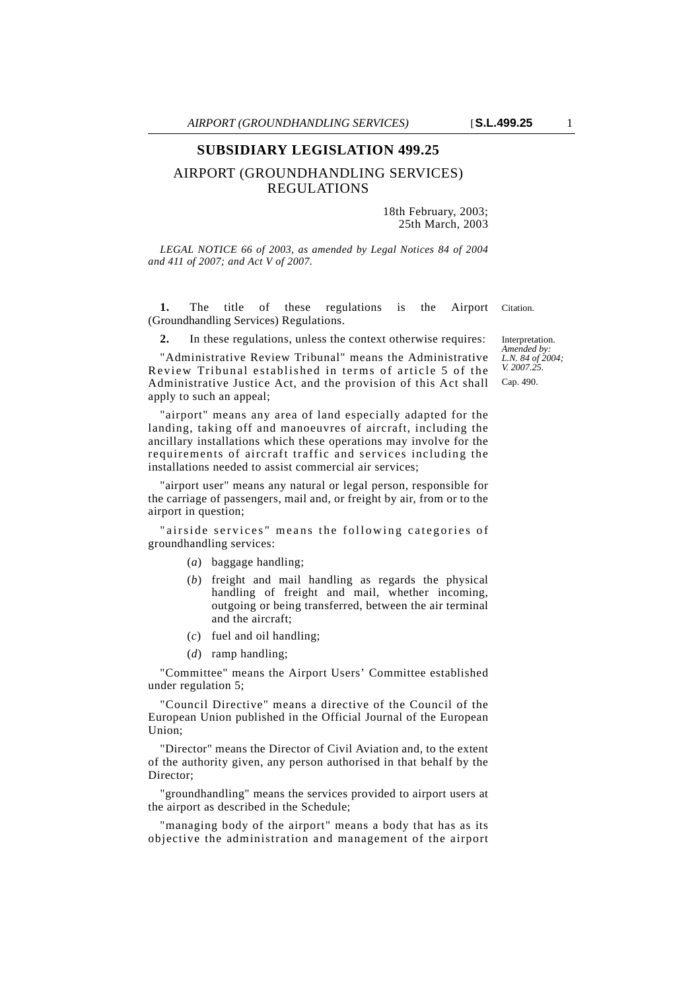# **SUBSIDIARY LEGISLATION 499.25**

# AIRPORT (GROUNDHANDLING SERVICES) REGULATIONS

18th February, 2003; 25th March, 2003

*LEGAL NOTICE 66 of 2003, as amended by Legal Notices 84 of 2004 and 411 of 2007; and Act V of 2007.*

**1.** The title of these regulations is the Airport Citation. (Groundhandling Services) Regulations.

**2.** In these regulations, unless the context otherwise requires:

"Administrative Review Tribunal" means the Administrative Review Tribunal established in terms of article 5 of the Administrative Justice Act, and the provision of this Act shall apply to such an appeal;

"airport" means any area of land especially adapted for the landing, taking off and manoeuvres of aircraft, including the ancillary installations which these operations may involve for the requirements of aircraft traffic and services including the installations needed to assist commercial air services;

"airport user" means any natural or legal person, responsible for the carriage of passengers, mail and, or freight by air, from or to the airport in question;

"airside services" means the following categories of groundhandling services:

- (*a*) baggage handling;
- (*b*) freight and mail handling as regards the physical handling of freight and mail, whether incoming, outgoing or being transferred, between the air terminal and the aircraft;
- (*c*) fuel and oil handling;
- (*d*) ramp handling;

"Committee" means the Airport Users' Committee established under regulation 5;

"Council Directive" means a directive of the Council of the European Union published in the Official Journal of the European Union;

"Director" means the Director of Civil Aviation and, to the extent of the authority given, any person authorised in that behalf by the Director;

"groundhandling" means the services provided to airport users at the airport as described in the Schedule;

"managing body of the airport" means a body that has as its objective the administration and management of the airport

Interpretation. *Amended by: L.N. 84 of 2004; V. 2007.25.* Cap. 490.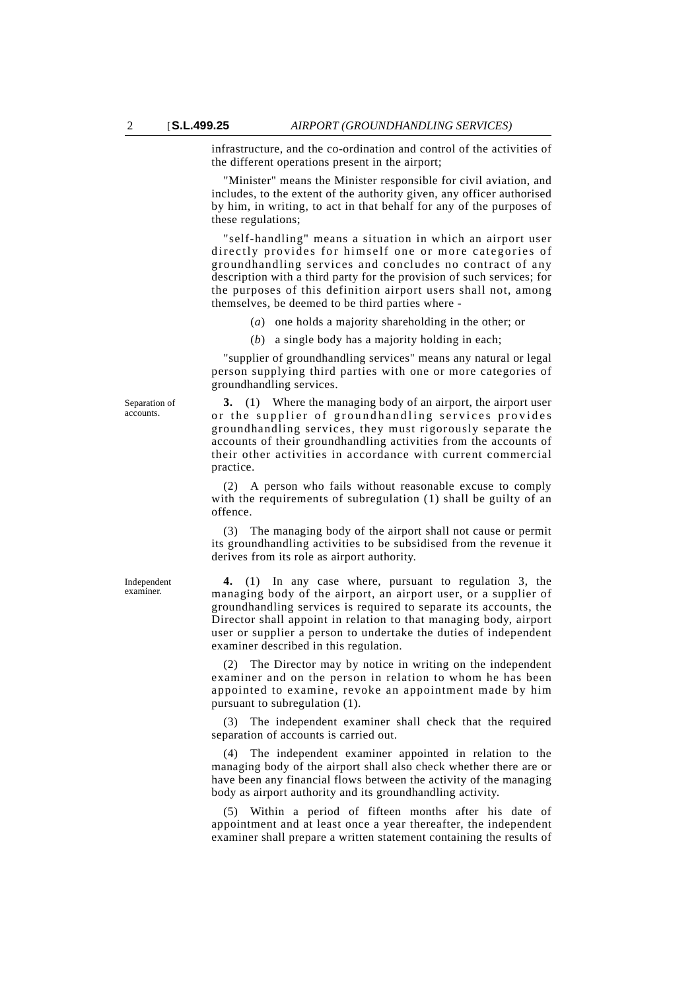infrastructure, and the co-ordination and control of the activities of the different operations present in the airport;

"Minister" means the Minister responsible for civil aviation, and includes, to the extent of the authority given, any officer authorised by him, in writing, to act in that behalf for any of the purposes of these regulations;

"self-handling" means a situation in which an airport user directly provides for himself one or more categories of groundhandling services and concludes no contract of any description with a third party for the provision of such services; for the purposes of this definition airport users shall not, among themselves, be deemed to be third parties where -

(*a*) one holds a majority shareholding in the other; or

(*b*) a single body has a majority holding in each;

"supplier of groundhandling services" means any natural or legal person supplying third parties with one or more categories of groundhandling services.

**3.** (1) Where the managing body of an airport, the airport user or the supplier of groundhandling services provides groundhandling services, they must rigorously separate the accounts of their groundhandling activities from the accounts of their other activities in accordance with current commercial practice.

(2) A person who fails without reasonable excuse to comply with the requirements of subregulation (1) shall be guilty of an offence.

(3) The managing body of the airport shall not cause or permit its groundhandling activities to be subsidised from the revenue it derives from its role as airport authority.

**4.** (1) In any case where, pursuant to regulation 3, the managing body of the airport, an airport user, or a supplier of groundhandling services is required to separate its accounts, the Director shall appoint in relation to that managing body, airport user or supplier a person to undertake the duties of independent examiner described in this regulation.

(2) The Director may by notice in writing on the independent examiner and on the person in relation to whom he has been appointed to examine, revoke an appointment made by him pursuant to subregulation (1).

(3) The independent examiner shall check that the required separation of accounts is carried out.

(4) The independent examiner appointed in relation to the managing body of the airport shall also check whether there are or have been any financial flows between the activity of the managing body as airport authority and its groundhandling activity.

(5) Within a period of fifteen months after his date of appointment and at least once a year thereafter, the independent examiner shall prepare a written statement containing the results of

Independent examiner.

Separation of accounts.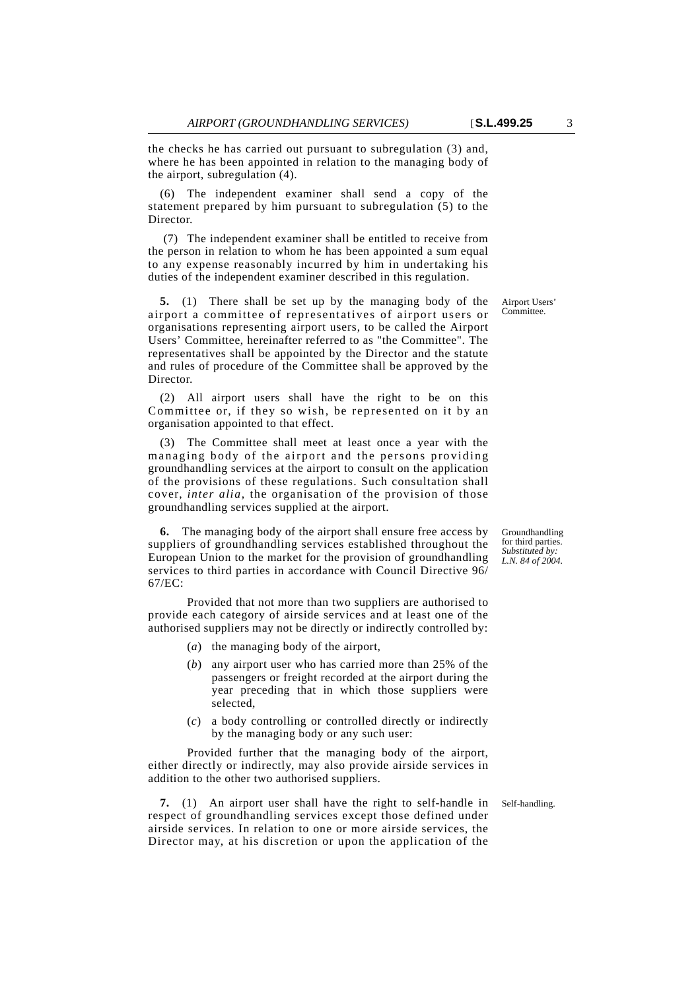the checks he has carried out pursuant to subregulation (3) and, where he has been appointed in relation to the managing body of the airport, subregulation (4).

The independent examiner shall send a copy of the statement prepared by him pursuant to subregulation (5) to the Director.

 (7) The independent examiner shall be entitled to receive from the person in relation to whom he has been appointed a sum equal to any expense reasonably incurred by him in undertaking his duties of the independent examiner described in this regulation.

**5.** (1) There shall be set up by the managing body of the airport a committee of representatives of airport users or organisations representing airport users, to be called the Airport Users' Committee, hereinafter referred to as "the Committee". The representatives shall be appointed by the Director and the statute and rules of procedure of the Committee shall be approved by the Director.

(2) All airport users shall have the right to be on this Committee or, if they so wish, be represented on it by an organisation appointed to that effect.

(3) The Committee shall meet at least once a year with the managing body of the airport and the persons providing groundhandling services at the airport to consult on the application of the provisions of these regulations. Such consultation shall cover, *inter alia*, the organisation of the provision of those groundhandling services supplied at the airport.

**6.** The managing body of the airport shall ensure free access by suppliers of groundhandling services established throughout the European Union to the market for the provision of groundhandling services to third parties in accordance with Council Directive 96/ 67/EC:

Provided that not more than two suppliers are authorised to provide each category of airside services and at least one of the authorised suppliers may not be directly or indirectly controlled by:

- (*a*) the managing body of the airport,
- (*b*) any airport user who has carried more than 25% of the passengers or freight recorded at the airport during the year preceding that in which those suppliers were selected,
- (*c*) a body controlling or controlled directly or indirectly by the managing body or any such user:

Provided further that the managing body of the airport, either directly or indirectly, may also provide airside services in addition to the other two authorised suppliers.

**7.** (1) An airport user shall have the right to self-handle in Self-handling. respect of groundhandling services except those defined under airside services. In relation to one or more airside services, the Director may, at his discretion or upon the application of the

Groundhandling for third parties. *Substituted by: L.N. 84 of 2004.*

Airport Users' Committee.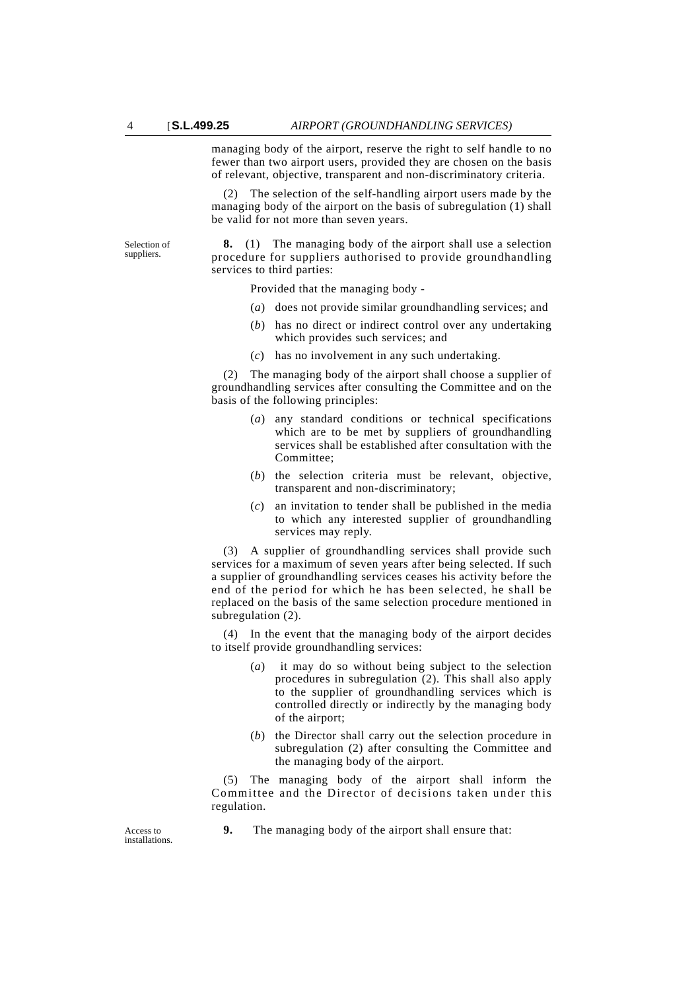managing body of the airport, reserve the right to self handle to no fewer than two airport users, provided they are chosen on the basis of relevant, objective, transparent and non-discriminatory criteria.

(2) The selection of the self-handling airport users made by the managing body of the airport on the basis of subregulation (1) shall be valid for not more than seven years.

Selection of suppliers.

**8.** (1) The managing body of the airport shall use a selection procedure for suppliers authorised to provide groundhandling services to third parties:

Provided that the managing body -

- (*a*) does not provide similar groundhandling services; and
- (*b*) has no direct or indirect control over any undertaking which provides such services; and
- (*c*) has no involvement in any such undertaking.

(2) The managing body of the airport shall choose a supplier of groundhandling services after consulting the Committee and on the basis of the following principles:

- (*a*) any standard conditions or technical specifications which are to be met by suppliers of groundhandling services shall be established after consultation with the Committee;
- (*b*) the selection criteria must be relevant, objective, transparent and non-discriminatory;
- (*c*) an invitation to tender shall be published in the media to which any interested supplier of groundhandling services may reply.

(3) A supplier of groundhandling services shall provide such services for a maximum of seven years after being selected. If such a supplier of groundhandling services ceases his activity before the end of the period for which he has been selected, he shall be replaced on the basis of the same selection procedure mentioned in subregulation (2).

(4) In the event that the managing body of the airport decides to itself provide groundhandling services:

- (*a*) it may do so without being subject to the selection procedures in subregulation (2). This shall also apply to the supplier of groundhandling services which is controlled directly or indirectly by the managing body of the airport;
- (*b*) the Director shall carry out the selection procedure in subregulation (2) after consulting the Committee and the managing body of the airport.

(5) The managing body of the airport shall inform the Committee and the Director of decisions taken under this regulation.

**9.** The managing body of the airport shall ensure that:

Access to installations.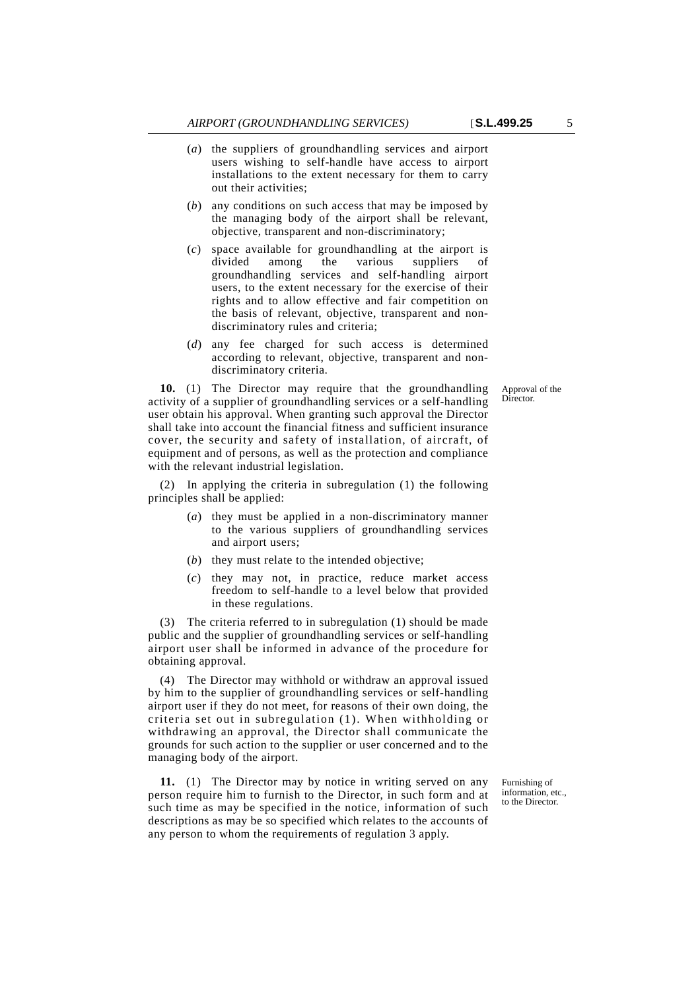- (*a*) the suppliers of groundhandling services and airport users wishing to self-handle have access to airport installations to the extent necessary for them to carry out their activities;
- (*b*) any conditions on such access that may be imposed by the managing body of the airport shall be relevant, objective, transparent and non-discriminatory;
- (*c*) space available for groundhandling at the airport is divided among the various suppliers of groundhandling services and self-handling airport users, to the extent necessary for the exercise of their rights and to allow effective and fair competition on the basis of relevant, objective, transparent and nondiscriminatory rules and criteria;
- (*d*) any fee charged for such access is determined according to relevant, objective, transparent and nondiscriminatory criteria.

Approval of the Director.

**10.** (1) The Director may require that the groundhandling activity of a supplier of groundhandling services or a self-handling user obtain his approval. When granting such approval the Director shall take into account the financial fitness and sufficient insurance cover, the security and safety of installation, of aircraft, of equipment and of persons, as well as the protection and compliance with the relevant industrial legislation.

(2) In applying the criteria in subregulation (1) the following principles shall be applied:

- (*a*) they must be applied in a non-discriminatory manner to the various suppliers of groundhandling services and airport users;
- (*b*) they must relate to the intended objective;
- (*c*) they may not, in practice, reduce market access freedom to self-handle to a level below that provided in these regulations.

(3) The criteria referred to in subregulation (1) should be made public and the supplier of groundhandling services or self-handling airport user shall be informed in advance of the procedure for obtaining approval.

(4) The Director may withhold or withdraw an approval issued by him to the supplier of groundhandling services or self-handling airport user if they do not meet, for reasons of their own doing, the criteria set out in subregulation (1). When withholding or withdrawing an approval, the Director shall communicate the grounds for such action to the supplier or user concerned and to the managing body of the airport.

**11.** (1) The Director may by notice in writing served on any person require him to furnish to the Director, in such form and at such time as may be specified in the notice, information of such descriptions as may be so specified which relates to the accounts of any person to whom the requirements of regulation 3 apply.

Furnishing of information, etc., to the Director.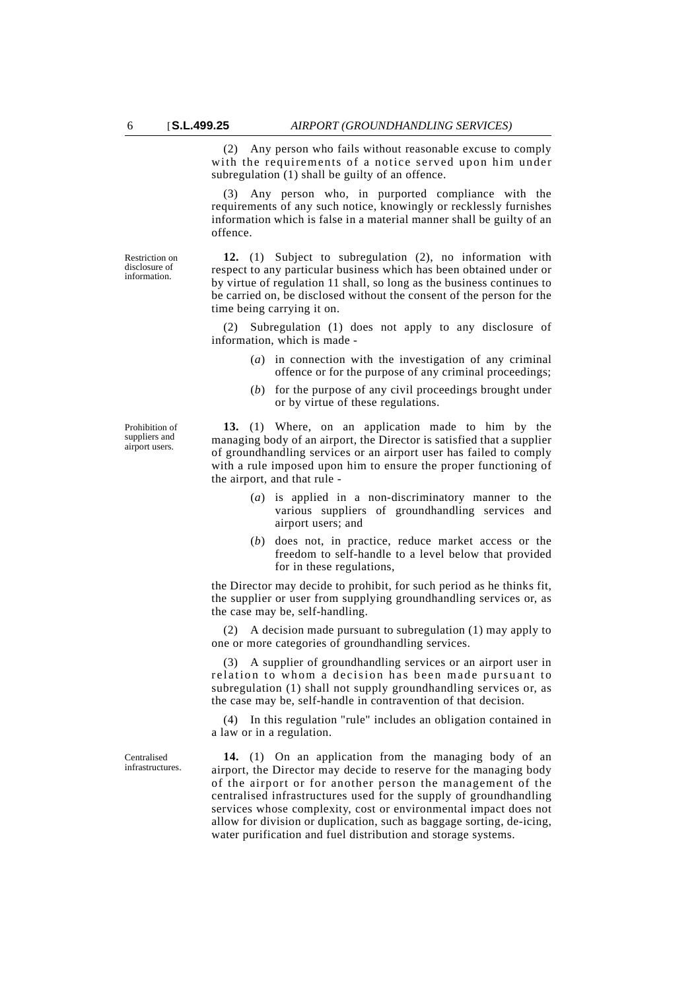(2) Any person who fails without reasonable excuse to comply with the requirements of a notice served upon him under subregulation (1) shall be guilty of an offence.

(3) Any person who, in purported compliance with the requirements of any such notice, knowingly or recklessly furnishes information which is false in a material manner shall be guilty of an offence.

**12.** (1) Subject to subregulation (2), no information with respect to any particular business which has been obtained under or by virtue of regulation 11 shall, so long as the business continues to be carried on, be disclosed without the consent of the person for the time being carrying it on.

(2) Subregulation (1) does not apply to any disclosure of information, which is made -

- (*a*) in connection with the investigation of any criminal offence or for the purpose of any criminal proceedings;
- (*b*) for the purpose of any civil proceedings brought under or by virtue of these regulations.

**13.** (1) Where, on an application made to him by the managing body of an airport, the Director is satisfied that a supplier of groundhandling services or an airport user has failed to comply with a rule imposed upon him to ensure the proper functioning of the airport, and that rule -

- (*a*) is applied in a non-discriminatory manner to the various suppliers of groundhandling services and airport users; and
- (*b*) does not, in practice, reduce market access or the freedom to self-handle to a level below that provided for in these regulations,

the Director may decide to prohibit, for such period as he thinks fit, the supplier or user from supplying groundhandling services or, as the case may be, self-handling.

(2) A decision made pursuant to subregulation (1) may apply to one or more categories of groundhandling services.

(3) A supplier of groundhandling services or an airport user in relation to whom a decision has been made pursuant to subregulation (1) shall not supply groundhandling services or, as the case may be, self-handle in contravention of that decision.

(4) In this regulation "rule" includes an obligation contained in a law or in a regulation.

**14.** (1) On an application from the managing body of an airport, the Director may decide to reserve for the managing body of the airport or for another person the management of the centralised infrastructures used for the supply of groundhandling services whose complexity, cost or environmental impact does not allow for division or duplication, such as baggage sorting, de-icing, water purification and fuel distribution and storage systems.

Restriction on disclosure of information.

Prohibition of suppliers and airport users.

Centralised infrastructures.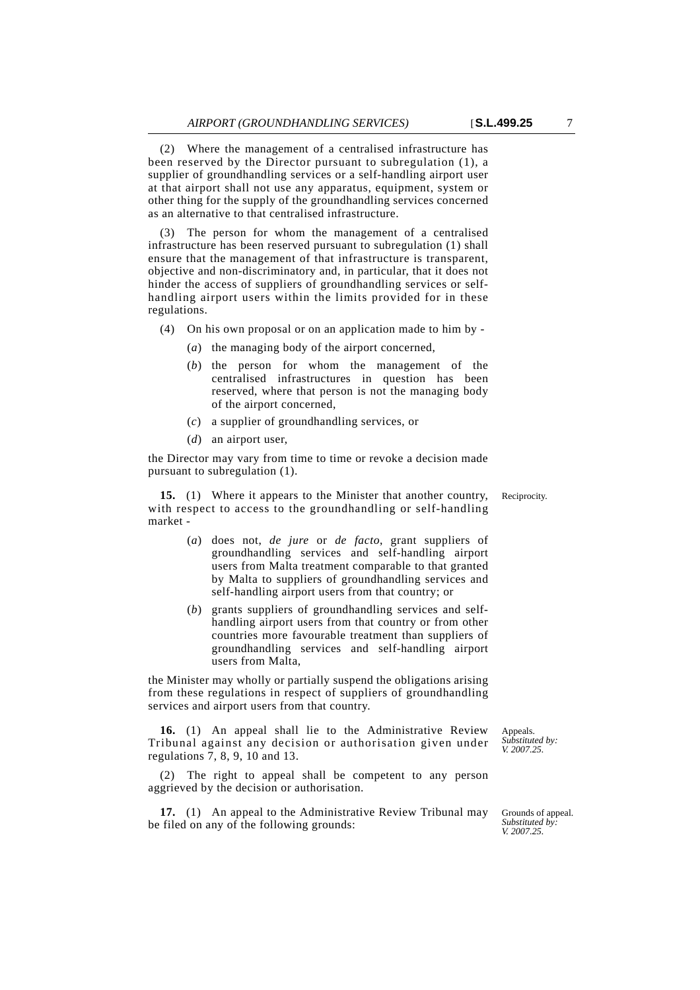(2) Where the management of a centralised infrastructure has been reserved by the Director pursuant to subregulation (1), a supplier of groundhandling services or a self-handling airport user at that airport shall not use any apparatus, equipment, system or other thing for the supply of the groundhandling services concerned as an alternative to that centralised infrastructure.

(3) The person for whom the management of a centralised infrastructure has been reserved pursuant to subregulation (1) shall ensure that the management of that infrastructure is transparent, objective and non-discriminatory and, in particular, that it does not hinder the access of suppliers of groundhandling services or selfhandling airport users within the limits provided for in these regulations.

(4) On his own proposal or on an application made to him by -

- (*a*) the managing body of the airport concerned,
- (*b*) the person for whom the management of the centralised infrastructures in question has been reserved, where that person is not the managing body of the airport concerned,
- (*c*) a supplier of groundhandling services, or
- (*d*) an airport user,

the Director may vary from time to time or revoke a decision made pursuant to subregulation (1).

**15.** (1) Where it appears to the Minister that another country, Reciprocity. with respect to access to the groundhandling or self-handling market -

- (*a*) does not, *de jure* or *de facto*, grant suppliers of groundhandling services and self-handling airport users from Malta treatment comparable to that granted by Malta to suppliers of groundhandling services and self-handling airport users from that country; or
- (*b*) grants suppliers of groundhandling services and selfhandling airport users from that country or from other countries more favourable treatment than suppliers of groundhandling services and self-handling airport users from Malta,

the Minister may wholly or partially suspend the obligations arising from these regulations in respect of suppliers of groundhandling services and airport users from that country.

**16.** (1) An appeal shall lie to the Administrative Review Tribunal against any decision or authorisation given under regulations 7, 8, 9, 10 and 13.

(2) The right to appeal shall be competent to any person aggrieved by the decision or authorisation.

**17.** (1) An appeal to the Administrative Review Tribunal may be filed on any of the following grounds:

*Substituted by: V. 2007.25.*

Appeals.

Grounds of appeal. *Substituted by: V. 2007.25.*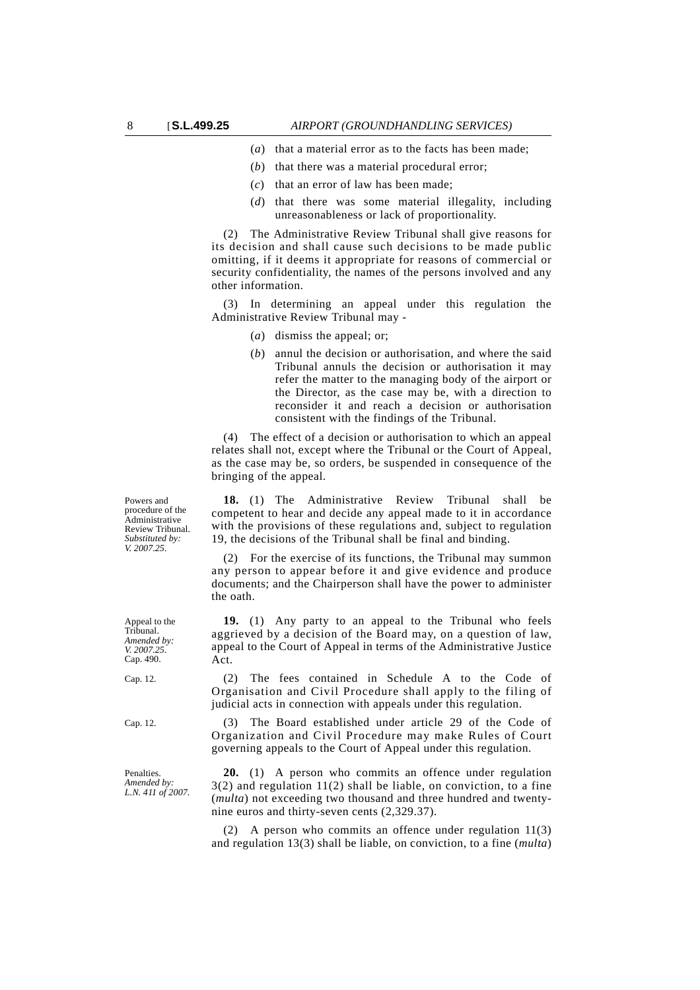- (*a*) that a material error as to the facts has been made;
- (*b*) that there was a material procedural error;
- (*c*) that an error of law has been made;
- (*d*) that there was some material illegality, including unreasonableness or lack of proportionality.

(2) The Administrative Review Tribunal shall give reasons for its decision and shall cause such decisions to be made public omitting, if it deems it appropriate for reasons of commercial or security confidentiality, the names of the persons involved and any other information.

(3) In determining an appeal under this regulation the Administrative Review Tribunal may -

- (*a*) dismiss the appeal; or;
- (*b*) annul the decision or authorisation, and where the said Tribunal annuls the decision or authorisation it may refer the matter to the managing body of the airport or the Director, as the case may be, with a direction to reconsider it and reach a decision or authorisation consistent with the findings of the Tribunal.

(4) The effect of a decision or authorisation to which an appeal relates shall not, except where the Tribunal or the Court of Appeal, as the case may be, so orders, be suspended in consequence of the bringing of the appeal.

**18.** (1) The Administrative Review Tribunal shall be competent to hear and decide any appeal made to it in accordance with the provisions of these regulations and, subject to regulation 19, the decisions of the Tribunal shall be final and binding.

(2) For the exercise of its functions, the Tribunal may summon any person to appear before it and give evidence and produce documents; and the Chairperson shall have the power to administer the oath.

**19.** (1) Any party to an appeal to the Tribunal who feels aggrieved by a decision of the Board may, on a question of law, appeal to the Court of Appeal in terms of the Administrative Justice Act.

Cap. 12. (2) The fees contained in Schedule A to the Code of Organisation and Civil Procedure shall apply to the filing of judicial acts in connection with appeals under this regulation.

Cap. 12. (3) The Board established under article 29 of the Code of Organization and Civil Procedure may make Rules of Court governing appeals to the Court of Appeal under this regulation.

> **20.** (1) A person who commits an offence under regulation 3(2) and regulation 11(2) shall be liable, on conviction, to a fine (*multa*) not exceeding two thousand and three hundred and twentynine euros and thirty-seven cents (2,329.37).

> (2) A person who commits an offence under regulation 11(3) and regulation 13(3) shall be liable, on conviction, to a fine (*multa*)

Powers and procedure of the Administrative Review Tribunal. *Substituted by: V. 2007.25.*

Appeal to the Tribunal. *Amended by: V. 2007.25.* Cap. 490.

**Penalties**. *Amended by: L.N. 411 of 2007.*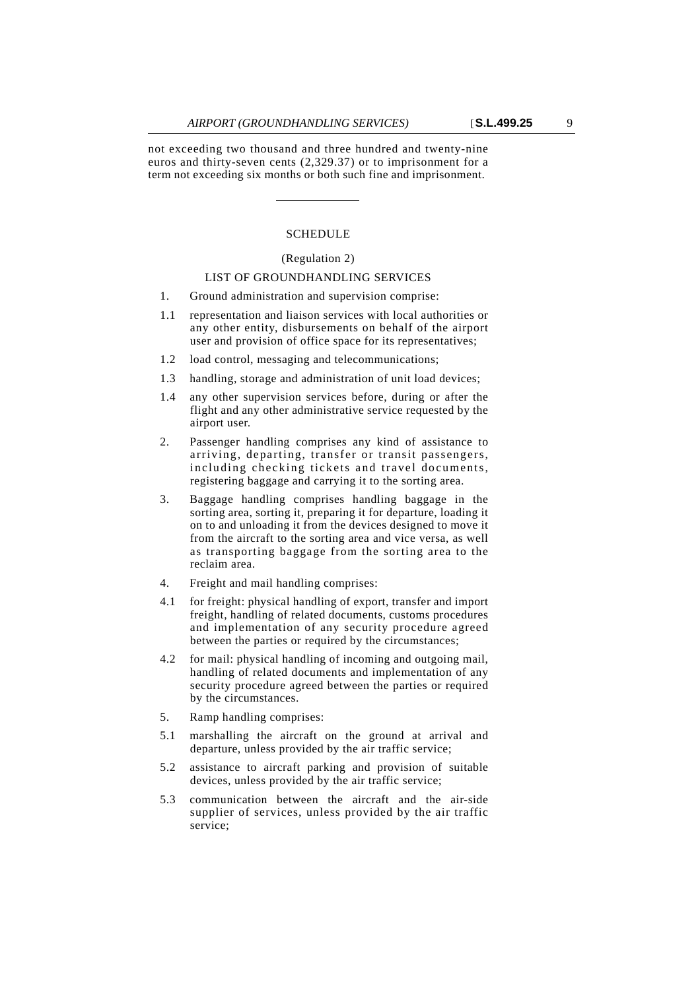not exceeding two thousand and three hundred and twenty-nine euros and thirty-seven cents (2,329.37) or to imprisonment for a term not exceeding six months or both such fine and imprisonment.

### SCHEDULE

#### (Regulation 2)

### LIST OF GROUNDHANDLING SERVICES

- 1. Ground administration and supervision comprise:
- 1.1 representation and liaison services with local authorities or any other entity, disbursements on behalf of the airport user and provision of office space for its representatives;
- 1.2 load control, messaging and telecommunications;
- 1.3 handling, storage and administration of unit load devices;
- 1.4 any other supervision services before, during or after the flight and any other administrative service requested by the airport user.
- 2. Passenger handling comprises any kind of assistance to arriving, departing, transfer or transit passengers, including checking tickets and travel documents, registering baggage and carrying it to the sorting area.
- 3. Baggage handling comprises handling baggage in the sorting area, sorting it, preparing it for departure, loading it on to and unloading it from the devices designed to move it from the aircraft to the sorting area and vice versa, as well as transporting baggage from the sorting area to the reclaim area.
- 4. Freight and mail handling comprises:
- 4.1 for freight: physical handling of export, transfer and import freight, handling of related documents, customs procedures and implementation of any security procedure agreed between the parties or required by the circumstances;
- 4.2 for mail: physical handling of incoming and outgoing mail, handling of related documents and implementation of any security procedure agreed between the parties or required by the circumstances.
- 5. Ramp handling comprises:
- 5.1 marshalling the aircraft on the ground at arrival and departure, unless provided by the air traffic service;
- 5.2 assistance to aircraft parking and provision of suitable devices, unless provided by the air traffic service;
- 5.3 communication between the aircraft and the air-side supplier of services, unless provided by the air traffic service;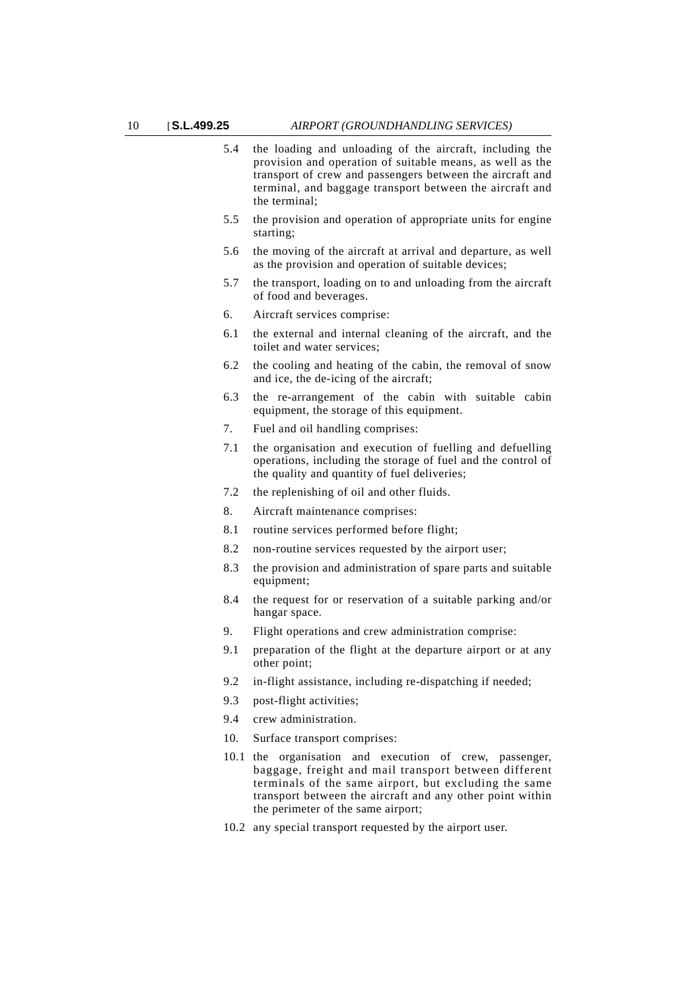- 5.4 the loading and unloading of the aircraft, including the provision and operation of suitable means, as well as the transport of crew and passengers between the aircraft and terminal, and baggage transport between the aircraft and the terminal;
- 5.5 the provision and operation of appropriate units for engine starting;
- 5.6 the moving of the aircraft at arrival and departure, as well as the provision and operation of suitable devices;
- 5.7 the transport, loading on to and unloading from the aircraft of food and beverages.
- 6. Aircraft services comprise:
- 6.1 the external and internal cleaning of the aircraft, and the toilet and water services;
- 6.2 the cooling and heating of the cabin, the removal of snow and ice, the de-icing of the aircraft;
- 6.3 the re-arrangement of the cabin with suitable cabin equipment, the storage of this equipment.
- 7. Fuel and oil handling comprises:
- 7.1 the organisation and execution of fuelling and defuelling operations, including the storage of fuel and the control of the quality and quantity of fuel deliveries;
- 7.2 the replenishing of oil and other fluids.
- 8. Aircraft maintenance comprises:
- 8.1 routine services performed before flight;
- 8.2 non-routine services requested by the airport user;
- 8.3 the provision and administration of spare parts and suitable equipment;
- 8.4 the request for or reservation of a suitable parking and/or hangar space.
- 9. Flight operations and crew administration comprise:
- 9.1 preparation of the flight at the departure airport or at any other point;
- 9.2 in-flight assistance, including re-dispatching if needed;
- 9.3 post-flight activities;
- 9.4 crew administration.
- 10. Surface transport comprises:
- 10.1 the organisation and execution of crew, passenger, baggage, freight and mail transport between different terminals of the same airport, but excluding the same transport between the aircraft and any other point within the perimeter of the same airport;
- 10.2 any special transport requested by the airport user.